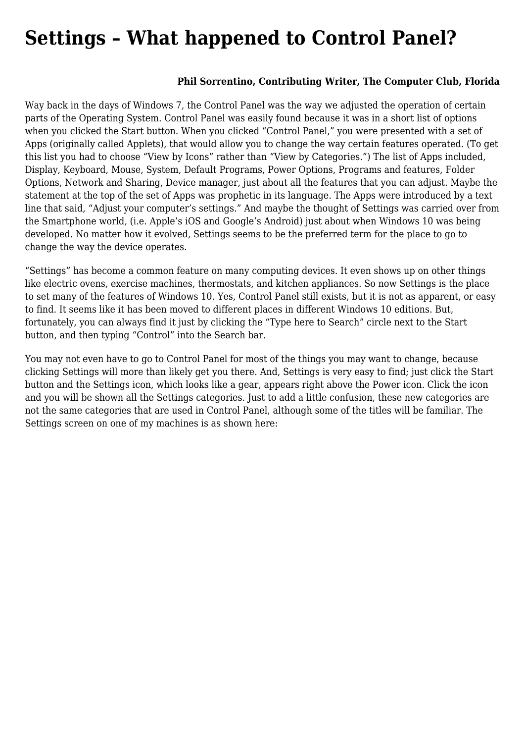## **[Settings – What happened to Control Panel?](https://www.melbpc.org.au/settings-what-happened-to-control-panel/)**

## **Phil Sorrentino, Contributing Writer, The Computer Club, Florida**

Way back in the days of Windows 7, the Control Panel was the way we adjusted the operation of certain parts of the Operating System. Control Panel was easily found because it was in a short list of options when you clicked the Start button. When you clicked "Control Panel," you were presented with a set of Apps (originally called Applets), that would allow you to change the way certain features operated. (To get this list you had to choose "View by Icons" rather than "View by Categories.") The list of Apps included, Display, Keyboard, Mouse, System, Default Programs, Power Options, Programs and features, Folder Options, Network and Sharing, Device manager, just about all the features that you can adjust. Maybe the statement at the top of the set of Apps was prophetic in its language. The Apps were introduced by a text line that said, "Adjust your computer's settings." And maybe the thought of Settings was carried over from the Smartphone world, (i.e. Apple's iOS and Google's Android) just about when Windows 10 was being developed. No matter how it evolved, Settings seems to be the preferred term for the place to go to change the way the device operates.

"Settings" has become a common feature on many computing devices. It even shows up on other things like electric ovens, exercise machines, thermostats, and kitchen appliances. So now Settings is the place to set many of the features of Windows 10. Yes, Control Panel still exists, but it is not as apparent, or easy to find. It seems like it has been moved to different places in different Windows 10 editions. But, fortunately, you can always find it just by clicking the "Type here to Search" circle next to the Start button, and then typing "Control" into the Search bar.

You may not even have to go to Control Panel for most of the things you may want to change, because clicking Settings will more than likely get you there. And, Settings is very easy to find; just click the Start button and the Settings icon, which looks like a gear, appears right above the Power icon. Click the icon and you will be shown all the Settings categories. Just to add a little confusion, these new categories are not the same categories that are used in Control Panel, although some of the titles will be familiar. The Settings screen on one of my machines is as shown here: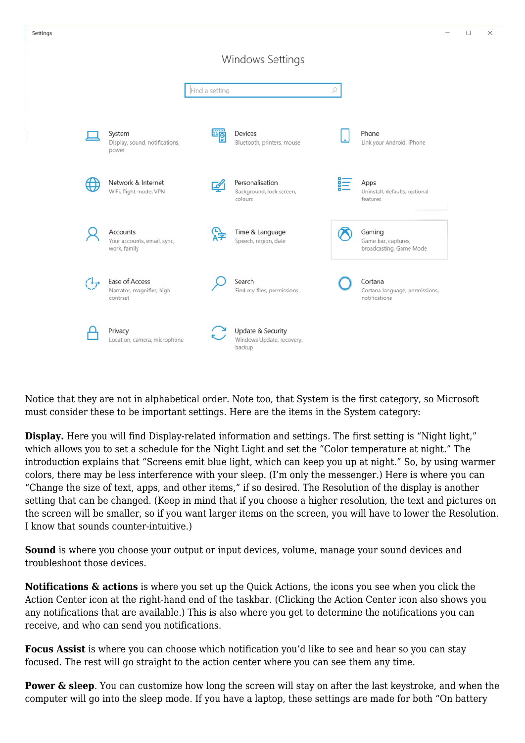

Notice that they are not in alphabetical order. Note too, that System is the first category, so Microsoft must consider these to be important settings. Here are the items in the System category:

**Display.** Here you will find Display-related information and settings. The first setting is "Night light," which allows you to set a schedule for the Night Light and set the "Color temperature at night." The introduction explains that "Screens emit blue light, which can keep you up at night." So, by using warmer colors, there may be less interference with your sleep. (I'm only the messenger.) Here is where you can "Change the size of text, apps, and other items," if so desired. The Resolution of the display is another setting that can be changed. (Keep in mind that if you choose a higher resolution, the text and pictures on the screen will be smaller, so if you want larger items on the screen, you will have to lower the Resolution. I know that sounds counter-intuitive.)

**Sound** is where you choose your output or input devices, volume, manage your sound devices and troubleshoot those devices.

**Notifications & actions** is where you set up the Quick Actions, the icons you see when you click the Action Center icon at the right-hand end of the taskbar. (Clicking the Action Center icon also shows you any notifications that are available.) This is also where you get to determine the notifications you can receive, and who can send you notifications.

**Focus Assist** is where you can choose which notification you'd like to see and hear so you can stay focused. The rest will go straight to the action center where you can see them any time.

**Power & sleep**. You can customize how long the screen will stay on after the last keystroke, and when the computer will go into the sleep mode. If you have a laptop, these settings are made for both "On battery